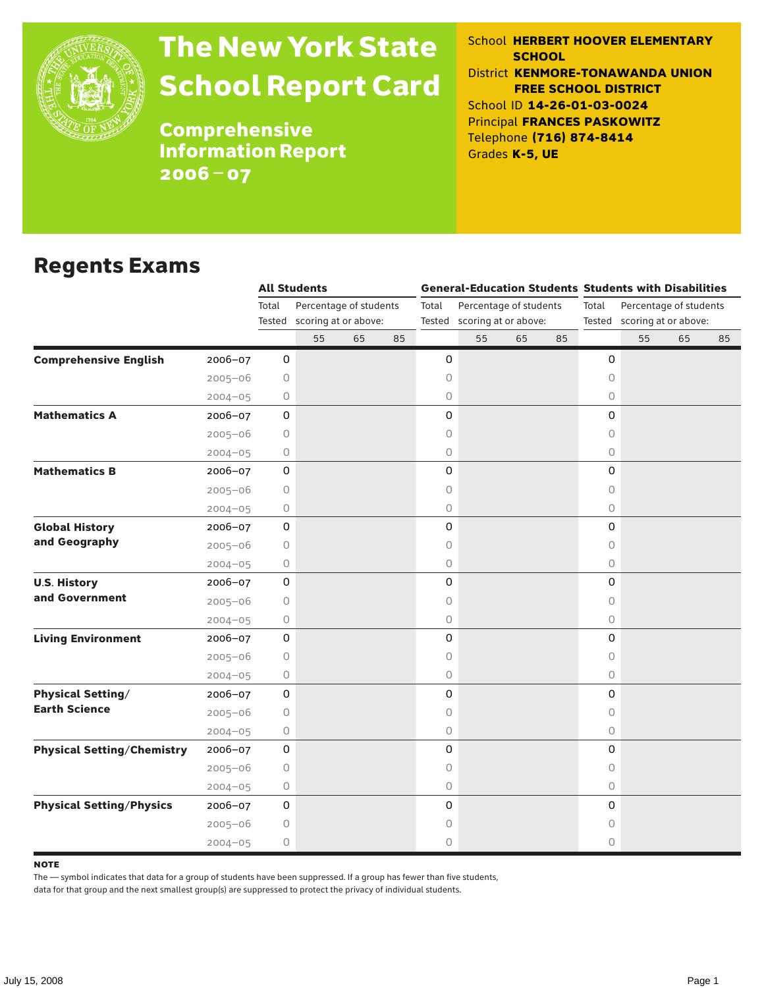

# The New York State School Report Card

School **HERBERT HOOVER ELEMENTARY SCHOOL** District **KENMORE-TONAWANDA UNION FREE SCHOOL DISTRICT** School ID **14-26-01-03-0024** Principal **FRANCES PASKOWITZ** Telephone **(716) 874-8414** Grades **K-5, UE**

**Comprehensive** Information Report 2006–07

#### Regents Exams

|                                   |             | <b>All Students</b> |                             |    |    |                             |                        |    |    | <b>General-Education Students Students with Disabilities</b> |                        |    |    |  |
|-----------------------------------|-------------|---------------------|-----------------------------|----|----|-----------------------------|------------------------|----|----|--------------------------------------------------------------|------------------------|----|----|--|
|                                   |             | Total               | Percentage of students      |    |    | Total                       | Percentage of students |    |    | Total                                                        | Percentage of students |    |    |  |
|                                   |             |                     | Tested scoring at or above: |    |    | Tested scoring at or above: |                        |    |    | Tested scoring at or above:                                  |                        |    |    |  |
|                                   |             |                     | 55                          | 65 | 85 |                             | 55                     | 65 | 85 |                                                              | 55                     | 65 | 85 |  |
| <b>Comprehensive English</b>      | 2006-07     | 0                   |                             |    |    | 0                           |                        |    |    | 0                                                            |                        |    |    |  |
|                                   | $2005 - 06$ | 0                   |                             |    |    | 0                           |                        |    |    | 0                                                            |                        |    |    |  |
|                                   | $2004 - 05$ | 0                   |                             |    |    | 0                           |                        |    |    | $\circ$                                                      |                        |    |    |  |
| <b>Mathematics A</b>              | $2006 - 07$ | 0                   |                             |    |    | 0                           |                        |    |    | $\Omega$                                                     |                        |    |    |  |
|                                   | $2005 - 06$ | 0                   |                             |    |    | 0                           |                        |    |    | $\circ$                                                      |                        |    |    |  |
|                                   | $2004 - 05$ | 0                   |                             |    |    | 0                           |                        |    |    | $\circ$                                                      |                        |    |    |  |
| <b>Mathematics B</b>              | 2006-07     | $\mathsf{O}$        |                             |    |    | 0                           |                        |    |    | 0                                                            |                        |    |    |  |
|                                   | $2005 - 06$ | 0                   |                             |    |    | 0                           |                        |    |    | $\circ$                                                      |                        |    |    |  |
|                                   | $2004 - 05$ | 0                   |                             |    |    | 0                           |                        |    |    | $\circ$                                                      |                        |    |    |  |
| <b>Global History</b>             | 2006-07     | 0                   |                             |    |    | 0                           |                        |    |    | 0                                                            |                        |    |    |  |
| and Geography                     | $2005 - 06$ | 0                   |                             |    |    | 0                           |                        |    |    | 0                                                            |                        |    |    |  |
|                                   | $2004 - 05$ | 0                   |                             |    |    | 0                           |                        |    |    | $\circ$                                                      |                        |    |    |  |
| <b>U.S. History</b>               | $2006 - 07$ | 0                   |                             |    |    | 0                           |                        |    |    | $\Omega$                                                     |                        |    |    |  |
| and Government                    | $2005 - 06$ | 0                   |                             |    |    | 0                           |                        |    |    | $\circ$                                                      |                        |    |    |  |
|                                   | $2004 - 05$ | 0                   |                             |    |    | 0                           |                        |    |    | $\circ$                                                      |                        |    |    |  |
| <b>Living Environment</b>         | $2006 - 07$ | $\mathsf{O}$        |                             |    |    | 0                           |                        |    |    | 0                                                            |                        |    |    |  |
|                                   | $2005 - 06$ | 0                   |                             |    |    | 0                           |                        |    |    | $\circ$                                                      |                        |    |    |  |
|                                   | $2004 - 05$ | 0                   |                             |    |    | 0                           |                        |    |    | $\circ$                                                      |                        |    |    |  |
| <b>Physical Setting/</b>          | $2006 - 07$ | 0                   |                             |    |    | 0                           |                        |    |    | 0                                                            |                        |    |    |  |
| <b>Earth Science</b>              | $2005 - 06$ | 0                   |                             |    |    | 0                           |                        |    |    | $\circ$                                                      |                        |    |    |  |
|                                   | $2004 - 05$ | 0                   |                             |    |    | 0                           |                        |    |    | $\circ$                                                      |                        |    |    |  |
| <b>Physical Setting/Chemistry</b> | $2006 - 07$ | 0                   |                             |    |    | 0                           |                        |    |    | 0                                                            |                        |    |    |  |
|                                   | $2005 - 06$ | 0                   |                             |    |    | 0                           |                        |    |    | $\circ$                                                      |                        |    |    |  |
|                                   | $2004 - 05$ | 0                   |                             |    |    | 0                           |                        |    |    | $\circ$                                                      |                        |    |    |  |
| <b>Physical Setting/Physics</b>   | $2006 - 07$ | $\mathsf{O}$        |                             |    |    | 0                           |                        |    |    | 0                                                            |                        |    |    |  |
|                                   | $2005 - 06$ | 0                   |                             |    |    | 0                           |                        |    |    | $\circ$                                                      |                        |    |    |  |
|                                   | $2004 - 05$ | 0                   |                             |    |    | 0                           |                        |    |    | $\circ$                                                      |                        |    |    |  |

**NOTE** 

The — symbol indicates that data for a group of students have been suppressed. If a group has fewer than five students,

data for that group and the next smallest group(s) are suppressed to protect the privacy of individual students.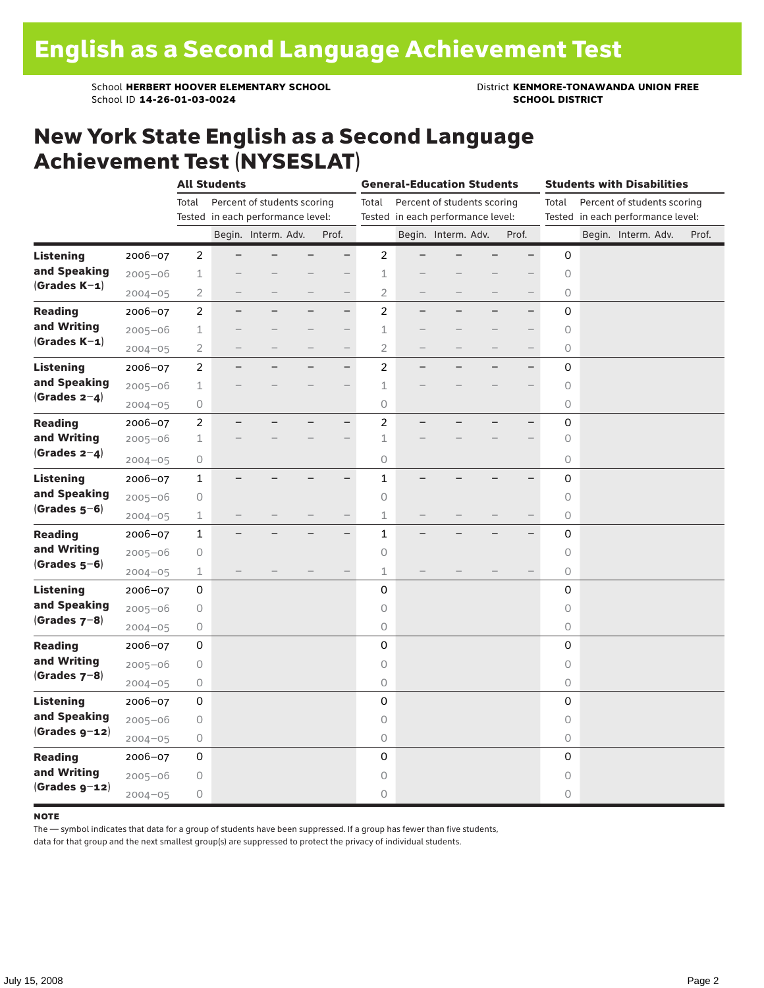School **HERBERT HOOVER ELEMENTARY SCHOOL** District **KENMORE-TONAWANDA UNION FREE**<br>School ID 14-26-01-03-0024 **District SCHOOL DISTRICT** School ID **14-26-01-03-0024** 

#### New York State English as a Second Language Achievement Test (NYSESLAT)

|                  |             | <b>All Students</b> |                                   |                             |                          |                          |                                   | <b>General-Education Students</b> |                                   | <b>Students with Disabilities</b> |                          |              |  |                             |       |
|------------------|-------------|---------------------|-----------------------------------|-----------------------------|--------------------------|--------------------------|-----------------------------------|-----------------------------------|-----------------------------------|-----------------------------------|--------------------------|--------------|--|-----------------------------|-------|
|                  |             | Total               |                                   | Percent of students scoring |                          |                          | Total                             |                                   | Percent of students scoring       |                                   |                          | Total        |  | Percent of students scoring |       |
|                  |             |                     | Tested in each performance level: |                             |                          |                          | Tested in each performance level: |                                   | Tested in each performance level: |                                   |                          |              |  |                             |       |
|                  |             |                     |                                   | Begin. Interm. Adv.         |                          | Prof.                    |                                   |                                   | Begin. Interm. Adv.               |                                   | Prof.                    |              |  | Begin. Interm. Adv.         | Prof. |
| <b>Listening</b> | 2006-07     | $\overline{c}$      |                                   |                             |                          | $\overline{\phantom{0}}$ | $\overline{c}$                    |                                   |                                   |                                   | $\overline{\phantom{0}}$ | $\mathsf{O}$ |  |                             |       |
| and Speaking     | $2005 - 06$ | 1                   |                                   |                             |                          |                          | $1\,$                             |                                   |                                   |                                   |                          | $\circ$      |  |                             |       |
| $(Grades K-1)$   | $2004 - 05$ | 2                   |                                   |                             | $\qquad \qquad -$        | $\qquad \qquad -$        | $\overline{2}$                    | $\qquad \qquad -$                 |                                   | -                                 |                          | 0            |  |                             |       |
| <b>Reading</b>   | 2006-07     | $\overline{c}$      | $\overline{\phantom{0}}$          |                             |                          | $\overline{\phantom{0}}$ | $\overline{c}$                    | $\overline{\phantom{0}}$          | ▃                                 | ▃                                 | $\overline{\phantom{0}}$ | 0            |  |                             |       |
| and Writing      | $2005 - 06$ | 1                   |                                   |                             |                          | -                        | 1                                 |                                   |                                   |                                   |                          | 0            |  |                             |       |
| $(Grades K-1)$   | $2004 - 05$ | $\overline{2}$      |                                   |                             |                          |                          | 2                                 |                                   |                                   |                                   | $\overline{\phantom{0}}$ | 0            |  |                             |       |
| <b>Listening</b> | 2006-07     | $\overline{c}$      |                                   |                             | $\overline{\phantom{0}}$ | $\overline{\phantom{0}}$ | $\overline{c}$                    |                                   |                                   |                                   | $\overline{\phantom{0}}$ | $\mathbf 0$  |  |                             |       |
| and Speaking     | $2005 - 06$ | $\mathbf 1$         |                                   |                             |                          | $\overline{\phantom{0}}$ | $\mathbf 1$                       |                                   |                                   |                                   | $\overline{\phantom{0}}$ | $\circ$      |  |                             |       |
| (Grades $2-4$ )  | $2004 - 05$ | 0                   |                                   |                             |                          |                          | $\circ$                           |                                   |                                   |                                   |                          | 0            |  |                             |       |
| <b>Reading</b>   | 2006-07     | $\overline{c}$      |                                   |                             |                          | $-$                      | $\mathbf 2$                       |                                   |                                   |                                   |                          | 0            |  |                             |       |
| and Writing      | $2005 - 06$ | $\mathbf 1$         |                                   |                             |                          |                          | $\mathbf 1$                       |                                   |                                   |                                   |                          | $\circ$      |  |                             |       |
| (Grades $2-4$ )  | $2004 - 05$ | 0                   |                                   |                             |                          |                          | 0                                 |                                   |                                   |                                   |                          | 0            |  |                             |       |
| <b>Listening</b> | 2006-07     | $\mathbf{1}$        |                                   |                             |                          | $\overline{\phantom{0}}$ | $\mathbf{1}$                      |                                   |                                   |                                   |                          | 0            |  |                             |       |
| and Speaking     | $2005 - 06$ | 0                   |                                   |                             |                          |                          | $\circ$                           |                                   |                                   |                                   |                          | 0            |  |                             |       |
| $(Grades 5-6)$   | $2004 - 05$ | 1                   |                                   |                             |                          |                          | $\mathbf 1$                       |                                   |                                   |                                   |                          | 0            |  |                             |       |
| <b>Reading</b>   | 2006-07     | $\mathbf 1$         |                                   |                             |                          | $-$                      | $\mathbf{1}$                      |                                   |                                   |                                   | $\equiv$                 | $\mathbf 0$  |  |                             |       |
| and Writing      | $2005 - 06$ | 0                   |                                   |                             |                          |                          | $\circ$                           |                                   |                                   |                                   |                          | $\circ$      |  |                             |       |
| $(Grades 5-6)$   | $2004 - 05$ | $\mathbbm{1}$       |                                   |                             |                          |                          | $\mathbbm{1}$                     |                                   |                                   |                                   |                          | 0            |  |                             |       |
| <b>Listening</b> | 2006-07     | 0                   |                                   |                             |                          |                          | 0                                 |                                   |                                   |                                   |                          | 0            |  |                             |       |
| and Speaking     | $2005 - 06$ | $\bigcirc$          |                                   |                             |                          |                          | $\circ$                           |                                   |                                   |                                   |                          | $\circ$      |  |                             |       |
| $(Grades 7-8)$   | $2004 - 05$ | 0                   |                                   |                             |                          |                          | $\bigcirc$                        |                                   |                                   |                                   |                          | 0            |  |                             |       |
| <b>Reading</b>   | 2006-07     | 0                   |                                   |                             |                          |                          | 0                                 |                                   |                                   |                                   |                          | 0            |  |                             |       |
| and Writing      | $2005 - 06$ | 0                   |                                   |                             |                          |                          | $\circ$                           |                                   |                                   |                                   |                          | 0            |  |                             |       |
| $(Grades 7-8)$   | $2004 - 05$ | $\bigcirc$          |                                   |                             |                          |                          | $\bigcirc$                        |                                   |                                   |                                   |                          | $\bigcirc$   |  |                             |       |
| <b>Listening</b> | 2006-07     | 0                   |                                   |                             |                          |                          | $\mathbf 0$                       |                                   |                                   |                                   |                          | $\mathbf 0$  |  |                             |       |
| and Speaking     | $2005 - 06$ | 0                   |                                   |                             |                          |                          | $\circ$                           |                                   |                                   |                                   |                          | $\circ$      |  |                             |       |
| $(Grades g-12)$  | $2004 - 05$ | $\bigcirc$          |                                   |                             |                          |                          | 0                                 |                                   |                                   |                                   |                          | 0            |  |                             |       |
| <b>Reading</b>   | 2006-07     | 0                   |                                   |                             |                          |                          | 0                                 |                                   |                                   |                                   |                          | 0            |  |                             |       |
| and Writing      | $2005 - 06$ | 0                   |                                   |                             |                          |                          | $\circ$                           |                                   |                                   |                                   |                          | $\circ$      |  |                             |       |
| $(Grades g-12)$  | $2004 - 05$ | $\bigcirc$          |                                   |                             |                          |                          | $\circ$                           |                                   |                                   |                                   |                          | 0            |  |                             |       |

#### **NOTE**

The — symbol indicates that data for a group of students have been suppressed. If a group has fewer than five students,

data for that group and the next smallest group(s) are suppressed to protect the privacy of individual students.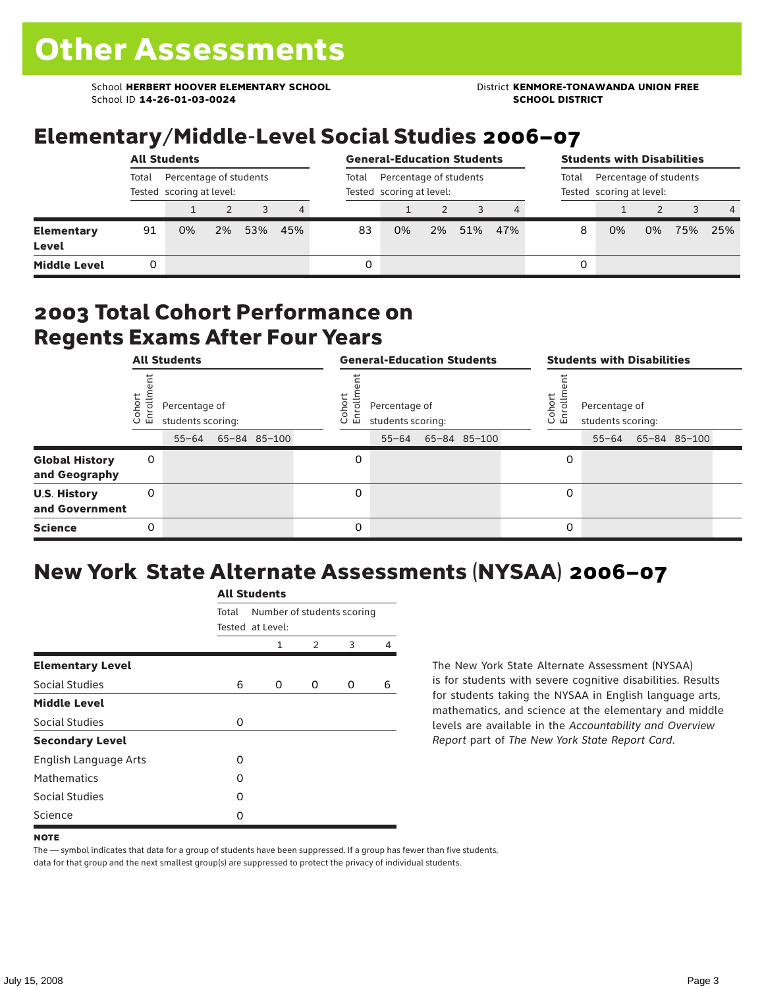School **HERBERT HOOVER ELEMENTARY SCHOOL** District **KENMORE-TONAWANDA UNION FREE**<br>School ID 14-26-01-03-0024 **District Album School District** School ID **14-26-01-03-0024** 

### Elementary/Middle-Level Social Studies 2006–07

|                                   | <b>All Students</b>                                         |    |       |     |                |                                                    | <b>General-Education Students</b> |    |     | <b>Students with Disabilities</b> |                                                             |    |    |     |                |
|-----------------------------------|-------------------------------------------------------------|----|-------|-----|----------------|----------------------------------------------------|-----------------------------------|----|-----|-----------------------------------|-------------------------------------------------------------|----|----|-----|----------------|
|                                   | Percentage of students<br>Total<br>Tested scoring at level: |    |       |     | Total          | Percentage of students<br>Tested scoring at level: |                                   |    |     |                                   | Percentage of students<br>Total<br>Tested scoring at level: |    |    |     |                |
|                                   |                                                             |    |       | 3   | $\overline{4}$ |                                                    |                                   |    |     |                                   |                                                             |    |    |     | $\overline{4}$ |
| <b>Elementary</b><br><b>Level</b> | 91                                                          | 0% | $2\%$ | 53% | 45%            | 83                                                 | 0%                                | 2% | 51% | 47%                               | 8                                                           | 0% | 0% | 75% | 25%            |
| <b>Middle Level</b>               |                                                             |    |       |     |                | 0                                                  |                                   |    |     |                                   | 0                                                           |    |    |     |                |

#### 2003 Total Cohort Performance on Regents Exams After Four Years

|                                        | <b>All Students</b> |                                                 |  |              | <b>General-Education Students</b> |                                                 |  |              |  |                | <b>Students with Disabilities</b>  |  |                    |  |  |
|----------------------------------------|---------------------|-------------------------------------------------|--|--------------|-----------------------------------|-------------------------------------------------|--|--------------|--|----------------|------------------------------------|--|--------------------|--|--|
|                                        | Coho<br>Enroll      | Percentage of<br>students scoring:<br>$55 - 64$ |  | 65-84 85-100 | Coho<br>o,<br>巴                   | Percentage of<br>students scoring:<br>$55 - 64$ |  | 65-84 85-100 |  | Coho<br>6<br>문 | Percentage of<br>students scoring: |  | 55-64 65-84 85-100 |  |  |
| <b>Global History</b><br>and Geography | 0                   |                                                 |  |              | 0                                 |                                                 |  |              |  | 0              |                                    |  |                    |  |  |
| <b>U.S. History</b><br>and Government  | 0                   |                                                 |  |              | 0                                 |                                                 |  |              |  | 0              |                                    |  |                    |  |  |
| <b>Science</b>                         | 0                   |                                                 |  |              | $\Omega$                          |                                                 |  |              |  | 0              |                                    |  |                    |  |  |

## New York State Alternate Assessments (NYSAA) 2006–07

|                         |       | <b>All Students</b> |               |                            |   |  |  |  |  |  |  |
|-------------------------|-------|---------------------|---------------|----------------------------|---|--|--|--|--|--|--|
|                         | Total | Tested at Level:    |               | Number of students scoring |   |  |  |  |  |  |  |
|                         |       | 1                   | $\mathcal{P}$ | 3                          | 4 |  |  |  |  |  |  |
| <b>Elementary Level</b> |       |                     |               |                            |   |  |  |  |  |  |  |
| Social Studies          | 6     | 0                   | 0             | 0                          | 6 |  |  |  |  |  |  |
| <b>Middle Level</b>     |       |                     |               |                            |   |  |  |  |  |  |  |
| Social Studies          | O     |                     |               |                            |   |  |  |  |  |  |  |
| <b>Secondary Level</b>  |       |                     |               |                            |   |  |  |  |  |  |  |
| English Language Arts   | O     |                     |               |                            |   |  |  |  |  |  |  |
| <b>Mathematics</b>      | O     |                     |               |                            |   |  |  |  |  |  |  |
| <b>Social Studies</b>   | O     |                     |               |                            |   |  |  |  |  |  |  |
| Science                 | Ω     |                     |               |                            |   |  |  |  |  |  |  |

The New York State Alternate Assessment (NYSAA) is for students with severe cognitive disabilities. Results for students taking the NYSAA in English language arts, mathematics, and science at the elementary and middle levels are available in the *Accountability and Overview Report* part of *The New York State Report Card*.

The — symbol indicates that data for a group of students have been suppressed. If a group has fewer than five students, data for that group and the next smallest group(s) are suppressed to protect the privacy of individual students.

**NOTE**